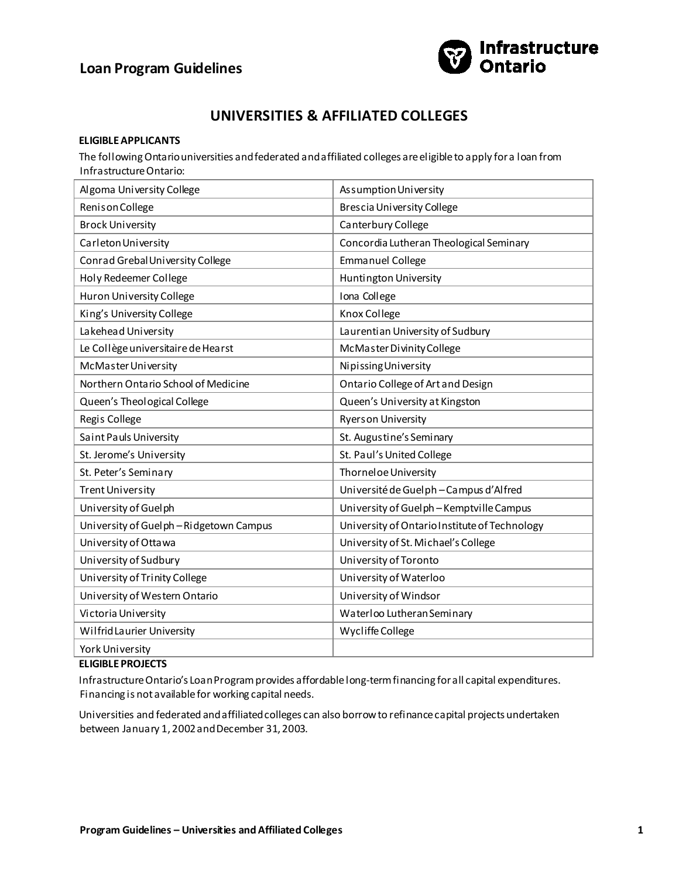# **Loan Program Guidelines**



# **UNIVERSITIES & AFFILIATED COLLEGES**

### **ELIGIBLE APPLICANTS**

The following Ontario universities and federated and affiliated colleges are eligible to apply for a loan from Infrastructure Ontario:

| Algoma University College             | Assumption University                         |
|---------------------------------------|-----------------------------------------------|
| Renison College                       | <b>Brescia University College</b>             |
| <b>Brock University</b>               | Canterbury College                            |
| Carleton University                   | Concordia Lutheran Theological Seminary       |
| Conrad Grebal University College      | <b>Emmanuel College</b>                       |
| Holy Redeemer College                 | Huntington University                         |
| Huron University College              | Iona College                                  |
| King's University College             | Knox College                                  |
| Lakehead University                   | Laurentian University of Sudbury              |
| Le Collège universitaire de Hearst    | McMaster Divinity College                     |
| McMaster University                   | Nipissing University                          |
| Northern Ontario School of Medicine   | Ontario College of Art and Design             |
| Queen's Theological College           | Queen's University at Kingston                |
| Regis College                         | <b>Ryerson University</b>                     |
| Saint Pauls University                | St. Augustine's Seminary                      |
| St. Jerome's University               | St. Paul's United College                     |
| St. Peter's Seminary                  | Thornel oe University                         |
| <b>Trent University</b>               | Université de Guelph-Campus d'Alfred          |
| University of Guelph                  | University of Guelph-Kemptville Campus        |
| University of Guelph-Ridgetown Campus | University of Ontario Institute of Technology |
| University of Ottawa                  | University of St. Michael's College           |
| University of Sudbury                 | University of Toronto                         |
| University of Trinity College         | University of Waterloo                        |
| University of Western Ontario         | University of Windsor                         |
| Victoria University                   | Waterloo Lutheran Seminary                    |
| Wilfrid Laurier University            | Wycliffe College                              |
| <b>York University</b>                |                                               |

#### **ELIGIBLE PROJECTS**

Infrastructure Ontario's Loan Program provides affordable long-term financing for all capital expenditures. Financing is not available for working capital needs.

Universities and federated and affiliated colleges can also borrow to refinance capital projects undertaken between January 1, 2002 and December 31, 2003.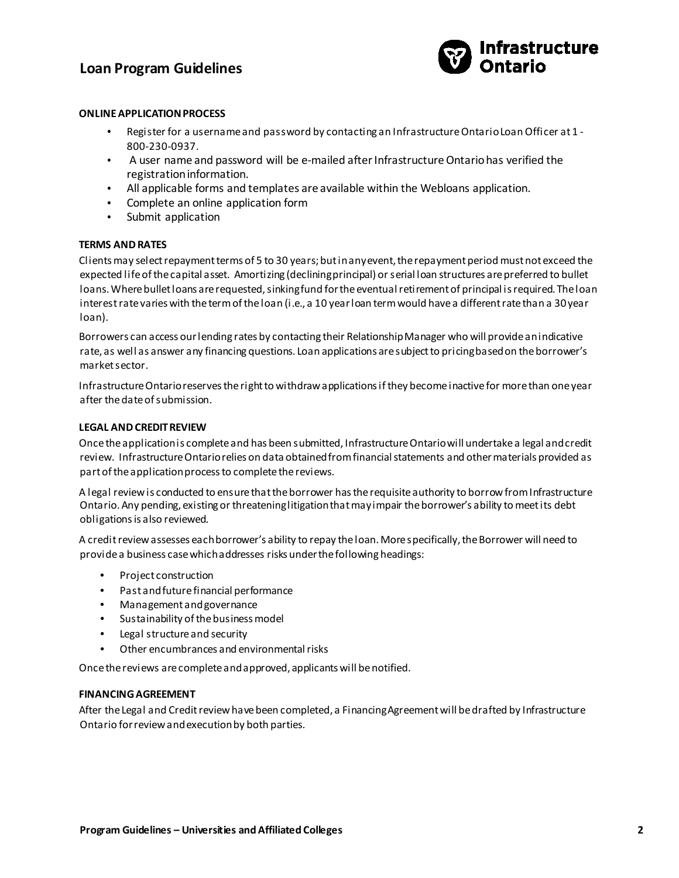### **Loan Program Guidelines**



#### **ONLINE APPLICATION PROCESS**

- Register for a username and password by contacting an Infrastructure Ontario Loan Officer at 1 800-230-0937.
- A user name and password will be e-mailed after Infrastructure Ontario has verified the registration information.
- All applicable forms and templates are available within the Webloans application.
- Complete an online application form
- Submit application

### **TERMS AND RATES**

Clients may select repayment terms of 5 to 30 years; but in any event, the repayment period must not exceed the expected life of the capital asset. Amortizing (declining principal) or serial loan structures are preferred to bullet loans. Where bullet loans are requested, sinking fund for the eventual retirement of principal is required. The loan interest rate varies with the term of the loan (i.e., a 10 year loan term would have a different rate than a 30 year loan).

Borrowers can access our lending rates by contacting their Relationship Manager who will provide an indicative rate, as well as answer any financing questions. Loan applications are subject to pricing based on the borrower's market sector.

Infrastructure Ontario reserves the right to withdraw applications if they become inactive for more than one year after the date of submission.

#### **LEGAL AND CREDIT REVIEW**

Once the application is complete and has been submitted, Infrastructure Ontario will undertake a legal and credit review. Infrastructure Ontario relies on data obtained from financial statements and other materials provided as part of the application process to complete the reviews.

A legal review is conducted to ensure that the borrower has the requisite authority to borrow from Infrastructure Ontario. Any pending, existing or threatening litigation that may impair the borrower's ability to meet its debt obligations is also reviewed.

A credit review assesses each borrower's ability to repay the loan. More specifically, the Borrower will need to provide a business case which addresses risks under the following headings:

- Project construction
- Past and future financial performance
- Management and governance
- Sustainability of the business model
- Legal structure and security
- Other encumbrances and environmental risks

Once the reviews are complete and approved, applicants will be notified.

#### **FINANCING AGREEMENT**

After the Legal and Credit review have been completed, a Financing Agreement will be drafted by Infrastructure Ontario for review and execution by both parties.